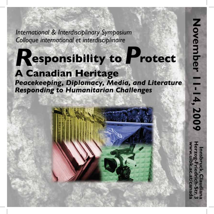**International & Interdisciplinary Symposium** Colloque international et interdisciplinaire

# Responsibility to Protect

## **A Canadian Heritage**

Peacekeeping, Diplomacy, Media, and Literature **Responding to Humanitarian Challenges** 

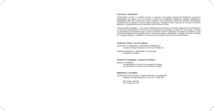#### The Event • L'événement

"Responsibility to Protect", a Canadian invention, is intended to successfully counteract the international community's powerlessness and failure to act in the face of crises and humanitarian catastrophes. Originally established in peacekeeping, R2P also involves other areas of operation such as diplomacy, media, and literature, whose specific contributions can be defined as "need to debate" (diplomacy), "necessity to inform" (media), and "courage to transcend" (literature). A separate section will be dedicated to each of these four fields.

« Responsabilité de protéger », une invention canadienne, est la tentative de combattre l'impuissance et la passivité de la communauté internationale en cas de crises et de catastrophes humanitaires. Le projet R2P, qui se réfère, à l'origine, au peacekeeping, fait également appel à d'autres domaines comme la diplomatie, les médias et la littérature. Leurs contributions respectives se conçoivent comme « nécessité de négocier » (diplomatie), « obligation d'informer » (médias) et « courage de dépasser » (littérature). Une section sera consacrée à chacun de ces quatre domaines.

#### Conference Venue • Lieu du colloque

UNIVERSITY OF INNSBRUCK • UNIVERSITÉ D'INNSBRUCK Claudiana, Herzog-Friedrich-Str. 3 (Old Town • Vieille ville)

OPENING CEREMONY • CÉRÉMONIE D'OUVERTURE: Claudiasaal, Claudiana

#### Conference Languages • Langues du colloque

ENGLISH • FRANÇAIS All presentations in French will be translated into English. Les interventions en français seront traduites en anglais.

#### Registration • Inscription

CANADIAN STUDIES CENTRE • CENTRE D'ÉTUDES CANADIENNES Claudiana, Herzog-Friedrich-Str. 3 (Old Town • Vieille ville)

> Wednesday • Mercredi from / à partir de 14.00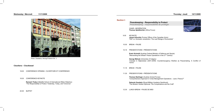## Wednesday • Mercredi 11/11/2009



Photo: Claudiana, Herzog-Friedrich-Str. 3

## Claudiana – Claudiasaal

- 18.00 CONFERENCE OPENING OUVERTURE ET CONFÉRENCE
- 18.30 CONFERENCE KEYNOTE

 Ramesh Thakur (Balsillie School of International Affairs Waterloo) "The Responsibility to Protect: Yesterday, Today, and Tomorrow"

20.00 BUFFET

**Peace 1 Responsibility to Protect** 



).<br>3): Counterinsurgency Warfare as Peacemaking. A Conflict of

Forces) Aanagement Operations – Just a Theory?"

| <b>Section I:</b> | <b>Peacekeeping - Responsibility to Protect</b><br>Peacekeeping - responsabilité de protéger                                                 |
|-------------------|----------------------------------------------------------------------------------------------------------------------------------------------|
|                   | <b>CHAIR • MODÉRATION</b><br>Thomas Spielbüchler (Africa Focus)                                                                              |
| 9.00              | <b>KEYNOTE</b><br>James Arbuckle (Former Officer of the Canadian Army)<br>"R2P vs. Domestic Jurisdiction: The Last Refuge of Scoundrels"     |
| 10.00             | <b>BREAK • PAUSE</b>                                                                                                                         |
| 10.15             | <b>PRESENTATIONS • PRÉSENTATIONS</b>                                                                                                         |
|                   | Erwin Schmidl (Austrian Federal Ministry of Defence and Sports)<br>"Reinventing the Wheel? Peace Operations in the 21 <sup>st</sup> Century" |
|                   | George Melnyk (University of Calgary)<br>"Canada in Afghanistan (2001-2009): Counterinsurgency Warfa<br>Terms"                               |
| 11.15             | <b>BREAK • PAUSE</b>                                                                                                                         |
| 11.30             | <b>PRESENTATIONS • PRÉSENTATIONS</b>                                                                                                         |
|                   | <b>Thomas Starlinger (Austrian Armed Forces)</b><br>"Comprehensive Approach in Crisis Management Operations - Jus                            |
|                   | Deborah Goodwin (Royal Military Academy Sandhurst)<br>"The Modern Soldier-Diplomat: The Complications and the Craft"                         |
| 12.30             | LUNCH BREAK . PAUSE DE MIDI                                                                                                                  |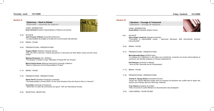## Thursday • Jeudi 12/11/2009

| <b>Section II:</b> |                                                                                                                                                         |  | <b>Section III:</b> |                                                                                                                                                                         |
|--------------------|---------------------------------------------------------------------------------------------------------------------------------------------------------|--|---------------------|-------------------------------------------------------------------------------------------------------------------------------------------------------------------------|
|                    | <b>Diplomacy - Need to Debate</b><br>Diplomatie - nécessité de négocier                                                                                 |  |                     | Literature - Courage to Transcend<br>Littérature - courage de dépasser                                                                                                  |
|                    | CHAIR • MODÉRATION<br>Erwin Schmidl (Austrian Federal Ministry of Defence and Sports)                                                                   |  |                     | <b>CHAIR • MODÉRATION</b><br><b>Ursula Moser (Canadian Studies Centre)</b>                                                                                              |
| 14.30              | <b>KEYNOTE</b><br>Jean-François Thibault (Université de Moncton)<br>"La responsabilité de protéger et la dette de la communauté internationale"         |  | 9.00                | <b>KEYNOTE</b><br>Hans-Jürgen Lüsebrink (Saarland University)<br>"Fictionaliser la responsabilité civique - approches thé                                               |
| 15.30              | BREAK • PAUSE                                                                                                                                           |  |                     | transculturelles"                                                                                                                                                       |
| 15.45              | <b>PRESENTATIONS · PRÉSENTATIONS</b>                                                                                                                    |  | 10.00               | <b>BREAK • PAUSE</b>                                                                                                                                                    |
|                    | <b>Gregory Weeks (Webster University Vienna)</b><br>"W2I: The Will to Intervene. Political Discussions of Genocide and Other Mass Crimes and the Future |  | 10.15               | <b>PRESENTATIONS • PRÉSENTATIONS</b>                                                                                                                                    |
|                    | of R2P"<br>Matthew Brubacher (UN - MONUC)<br>"The Situation in Eastern Congo: Difficulties of Putting R2P into Practice"                                |  |                     | Maria-Benedita Basto (EHESS Paris)<br>"La politique de la littérature ou des lettres pour transformer:<br>subversion des identités politiques en Afrique subsaharienne" |
|                    | Maria-Cristina Rosas (National Autonomous University of Mexico)<br>"Mexico's Diplomacy and the Responsibility to Protect"                               |  |                     | Piet Defraeye (University of Alberta)<br>"Twice at Peril: Genocide and its Fictionalization"                                                                            |
| 17.15              | BREAK • PAUSE                                                                                                                                           |  | 11.15               | BREAK • PAUSE                                                                                                                                                           |
| 17.30              | <b>PRESENTATIONS · PRÉSENTATIONS</b>                                                                                                                    |  | 11.30               | <b>PRESENTATIONS • PRÉSENTATIONS</b>                                                                                                                                    |
|                    | Noemi Gal-Or (Kwantlen Polytechnic University)<br>"The Responsibility to Protect (R2P): Do the Good Intentions Pave the Road to Hell or to Heaven?"     |  |                     | Charles K. Djungu-Simba (Université d'Anvers)<br>"Impact des cultures littéraires locales dans le processus de<br>Grands Lacs d'Afrique (Burundi, RDCongo, Rwanda)"     |
|                    | Franz Eder (University of Innsbruck)<br>"Spirits that I've cited, My Commands now ignore'. R2P and International Society"                               |  |                     | Yves Chemla (Académie de Créteil)<br>"Haïti, de la mise en scène littéraire à la déconstruction des pa                                                                  |
| 19.30              | RECEPTION · RÉCEPTION                                                                                                                                   |  | 13.00               | LUNCH BREAK . PAUSE DE MIDI                                                                                                                                             |

## Friday • Vendredi 13/11/2009



 $\overline{\phantom{a}}$ 

 $\overline{\phantom{a}}$ 

niversity) que – approches théoriques, défis interculturels, écritures

"La politique de la littérature ou des lettres pour transformer: production de savoirs démocratiques et

"Impact des cultures littéraires locales dans le processus de résolution des conflits dans la région des

la déconstruction des paradigmes"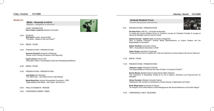#### Friday • Vendredi 13/11/2009

#### Section IV:

Media – Necessity to Inform Médias – obligation d'informer

 CHAIR • MODÉRATION Hans-Jürgen Lüsebrink (Saarland University)

- 14.30 KEYNOTE Keith Spicer (author and journalist) "The Media – Makers of War and Peace?"
- 15.30 BREAK PAUSE
- 15.45 PRESENTATIONS PRÉSENTATIONS

 Susanne Kirchhoff (University of Salzburg) "Whose Truth? Framing Processes in War Reporting"

 Ingrid Lehmann (former UN) "Information Power in Humanitarian Crises and Peacekeeping Missions"

- 16.45 BREAK PAUSE
- 17.00 PRESENTATIONS PRÉSENTATIONS

 Julia Raabe (Der Standard) "The CNN Factor – How Media Hunt for High Ratings"

 Margit Maximilian (Austrian Broadcasting Corporation - ORF) "Responsibility of the Media – We Protect – But Only Us"

- 18.00 FINAL STATEMENTS RÉSUMÉ
- 19.30 CONFERENCE DINNER DÎNER



## Saturday • Samedi 14/11/2009

de Montréal)

on et Territoires occupés de Christiane Frenette: le courage et l monde"

niversity of Klagenfurt) trian Media Representations on Asylum Seekers and the

e': Guilt and Victimhood in Uwem Akpan's My Parents' Bedroom"

Case of Darfur: A Concept of Failure?"

ternational Affairs Waterloo) iting as an Act of Agency, Resistance and Empowerment for

Vienna) .<br>nent to Human Security in Afghanistan and Sudan"

nflict Management with Special Reference to the Darfur Region"



## Graduate Students Forum Forum des jeunes chercheurs

| 9.00  | <b>PRESENTATIONS • PRÉSENTATIONS</b>                                                                                                |
|-------|-------------------------------------------------------------------------------------------------------------------------------------|
|       | Nicoletta Dolce (CRILCQ - Université de N<br>"Le hublot des heures d'Hélène Dorion et<br>l'aporie de témoigner dans les rues du mon |
|       | Daniela Gronold - Isabella Terkl (Universi<br>"Who is Seeking Protection? Austrian<br>Responsibility of Journalism"                 |
|       | Nathan Hauthaler (University of Graz)<br>"R2P v. Humanitarian Intervention in 2009"                                                 |
|       | <b>Adrian Knapp</b> (University of Innsbruck)<br>"Using doom and horror to reaffirm life': Gu                                       |
| 11.00 | <b>BREAK • PAUSE</b>                                                                                                                |
| 11.30 | <b>PRESENTATIONS • PRÉSENTATIONS</b>                                                                                                |
|       | <b>Johannes Langer</b> (University of Vienna)<br>"The Responsibility to Protect and the Case                                        |
|       | Branka Marijan (Balsillie School of Internat<br>"The Importance of Storytelling: Writing a<br>Refugees"                             |
|       | <b>Allison Snowden (Webster University Vien</b><br>"Walking the Talk: Canada's Commitment to                                        |
|       | Beate Wegscheider (University of Vienna)<br>"An Analysis of the United Nations Conflict I                                           |
| 13.30 | CONFERENCE LUNCH . DÉJEUNER                                                                                                         |
|       |                                                                                                                                     |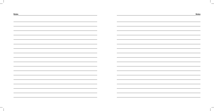| I | ۱C<br>τе |
|---|----------|
|---|----------|

|                                                                                  | $\overline{\phantom{a}}$                                                                                                                                                                                                                                                                                                                                                                                                                                                   |
|----------------------------------------------------------------------------------|----------------------------------------------------------------------------------------------------------------------------------------------------------------------------------------------------------------------------------------------------------------------------------------------------------------------------------------------------------------------------------------------------------------------------------------------------------------------------|
|                                                                                  |                                                                                                                                                                                                                                                                                                                                                                                                                                                                            |
|                                                                                  | $\overline{\phantom{a}}$                                                                                                                                                                                                                                                                                                                                                                                                                                                   |
|                                                                                  |                                                                                                                                                                                                                                                                                                                                                                                                                                                                            |
|                                                                                  |                                                                                                                                                                                                                                                                                                                                                                                                                                                                            |
|                                                                                  |                                                                                                                                                                                                                                                                                                                                                                                                                                                                            |
|                                                                                  |                                                                                                                                                                                                                                                                                                                                                                                                                                                                            |
|                                                                                  |                                                                                                                                                                                                                                                                                                                                                                                                                                                                            |
| ,我们也不会不会不会。""我们的,我们也不会不会不会不会。""我们的,我们也不会不会不会不会。""我们的,我们也不会不会不会。""我们的,我们也不会不会不会不会 | the control of the control of the control of the control of<br><u> The Communication of the Communication of the Communication of the Communication of the Communication of the Communication of the Communication of the Communication of the Communication of the Communication of the Commun</u>                                                                                                                                                                        |
|                                                                                  |                                                                                                                                                                                                                                                                                                                                                                                                                                                                            |
|                                                                                  |                                                                                                                                                                                                                                                                                                                                                                                                                                                                            |
|                                                                                  | $\frac{1}{2}$                                                                                                                                                                                                                                                                                                                                                                                                                                                              |
|                                                                                  |                                                                                                                                                                                                                                                                                                                                                                                                                                                                            |
|                                                                                  |                                                                                                                                                                                                                                                                                                                                                                                                                                                                            |
|                                                                                  | the contract of the contract of the contract of the contract of the contract of the contract of the contract of                                                                                                                                                                                                                                                                                                                                                            |
|                                                                                  |                                                                                                                                                                                                                                                                                                                                                                                                                                                                            |
|                                                                                  |                                                                                                                                                                                                                                                                                                                                                                                                                                                                            |
|                                                                                  |                                                                                                                                                                                                                                                                                                                                                                                                                                                                            |
|                                                                                  |                                                                                                                                                                                                                                                                                                                                                                                                                                                                            |
|                                                                                  |                                                                                                                                                                                                                                                                                                                                                                                                                                                                            |
|                                                                                  |                                                                                                                                                                                                                                                                                                                                                                                                                                                                            |
|                                                                                  |                                                                                                                                                                                                                                                                                                                                                                                                                                                                            |
|                                                                                  | $\frac{1}{2} \left( \frac{1}{2} \right) \left( \frac{1}{2} \right) \left( \frac{1}{2} \right) \left( \frac{1}{2} \right) \left( \frac{1}{2} \right) \left( \frac{1}{2} \right) \left( \frac{1}{2} \right) \left( \frac{1}{2} \right) \left( \frac{1}{2} \right) \left( \frac{1}{2} \right) \left( \frac{1}{2} \right) \left( \frac{1}{2} \right) \left( \frac{1}{2} \right) \left( \frac{1}{2} \right) \left( \frac{1}{2} \right) \left( \frac{1}{2} \right) \left( \frac$ |
|                                                                                  |                                                                                                                                                                                                                                                                                                                                                                                                                                                                            |
|                                                                                  |                                                                                                                                                                                                                                                                                                                                                                                                                                                                            |
| $\sim$                                                                           |                                                                                                                                                                                                                                                                                                                                                                                                                                                                            |
|                                                                                  |                                                                                                                                                                                                                                                                                                                                                                                                                                                                            |
|                                                                                  |                                                                                                                                                                                                                                                                                                                                                                                                                                                                            |
|                                                                                  | $\sim$ $\sim$                                                                                                                                                                                                                                                                                                                                                                                                                                                              |
|                                                                                  |                                                                                                                                                                                                                                                                                                                                                                                                                                                                            |
|                                                                                  |                                                                                                                                                                                                                                                                                                                                                                                                                                                                            |
|                                                                                  |                                                                                                                                                                                                                                                                                                                                                                                                                                                                            |
|                                                                                  |                                                                                                                                                                                                                                                                                                                                                                                                                                                                            |
|                                                                                  | <u> 1989 - Johann Stoff, deutscher Stoffen und der Stoffen und der Stoffen und der Stoffen und der Stoffen und der</u>                                                                                                                                                                                                                                                                                                                                                     |
|                                                                                  |                                                                                                                                                                                                                                                                                                                                                                                                                                                                            |
|                                                                                  |                                                                                                                                                                                                                                                                                                                                                                                                                                                                            |
|                                                                                  |                                                                                                                                                                                                                                                                                                                                                                                                                                                                            |
|                                                                                  |                                                                                                                                                                                                                                                                                                                                                                                                                                                                            |
|                                                                                  |                                                                                                                                                                                                                                                                                                                                                                                                                                                                            |
|                                                                                  | $\overline{\phantom{a}}$                                                                                                                                                                                                                                                                                                                                                                                                                                                   |
|                                                                                  |                                                                                                                                                                                                                                                                                                                                                                                                                                                                            |
|                                                                                  |                                                                                                                                                                                                                                                                                                                                                                                                                                                                            |
|                                                                                  |                                                                                                                                                                                                                                                                                                                                                                                                                                                                            |
|                                                                                  |                                                                                                                                                                                                                                                                                                                                                                                                                                                                            |
|                                                                                  |                                                                                                                                                                                                                                                                                                                                                                                                                                                                            |

| Notes | <b>Notes</b> |
|-------|--------------|
|       |              |